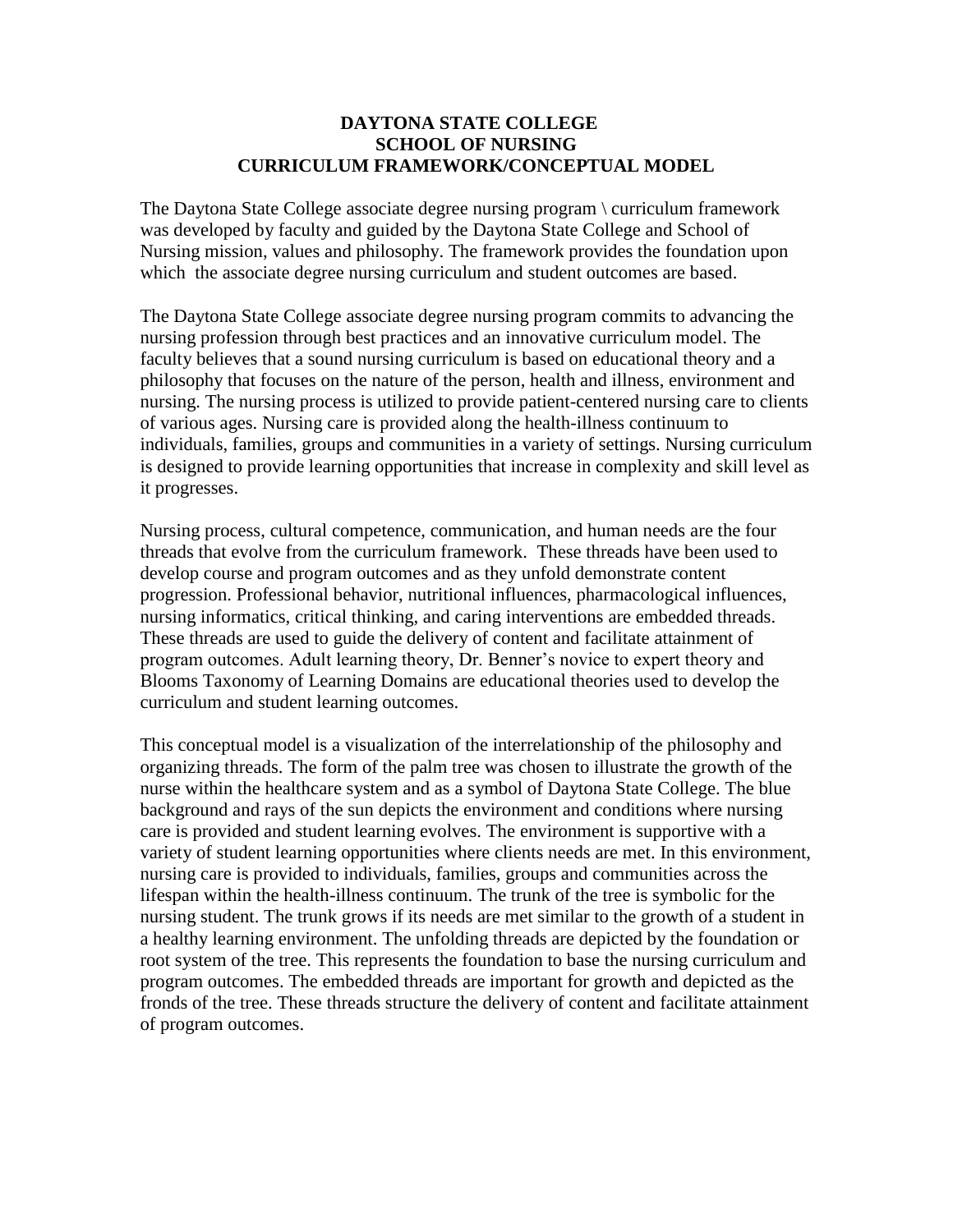## **DAYTONA STATE COLLEGE SCHOOL OF NURSING CURRICULUM FRAMEWORK/CONCEPTUAL MODEL**

The Daytona State College associate degree nursing program \ curriculum framework was developed by faculty and guided by the Daytona State College and School of Nursing mission, values and philosophy. The framework provides the foundation upon which the associate degree nursing curriculum and student outcomes are based.

The Daytona State College associate degree nursing program commits to advancing the nursing profession through best practices and an innovative curriculum model. The faculty believes that a sound nursing curriculum is based on educational theory and a philosophy that focuses on the nature of the person, health and illness, environment and nursing. The nursing process is utilized to provide patient-centered nursing care to clients of various ages. Nursing care is provided along the health-illness continuum to individuals, families, groups and communities in a variety of settings. Nursing curriculum is designed to provide learning opportunities that increase in complexity and skill level as it progresses.

Nursing process, cultural competence, communication, and human needs are the four threads that evolve from the curriculum framework. These threads have been used to develop course and program outcomes and as they unfold demonstrate content progression. Professional behavior, nutritional influences, pharmacological influences, nursing informatics, critical thinking, and caring interventions are embedded threads. These threads are used to guide the delivery of content and facilitate attainment of program outcomes. Adult learning theory, Dr. Benner's novice to expert theory and Blooms Taxonomy of Learning Domains are educational theories used to develop the curriculum and student learning outcomes.

This conceptual model is a visualization of the interrelationship of the philosophy and organizing threads. The form of the palm tree was chosen to illustrate the growth of the nurse within the healthcare system and as a symbol of Daytona State College. The blue background and rays of the sun depicts the environment and conditions where nursing care is provided and student learning evolves. The environment is supportive with a variety of student learning opportunities where clients needs are met. In this environment, nursing care is provided to individuals, families, groups and communities across the lifespan within the health-illness continuum. The trunk of the tree is symbolic for the nursing student. The trunk grows if its needs are met similar to the growth of a student in a healthy learning environment. The unfolding threads are depicted by the foundation or root system of the tree. This represents the foundation to base the nursing curriculum and program outcomes. The embedded threads are important for growth and depicted as the fronds of the tree. These threads structure the delivery of content and facilitate attainment of program outcomes.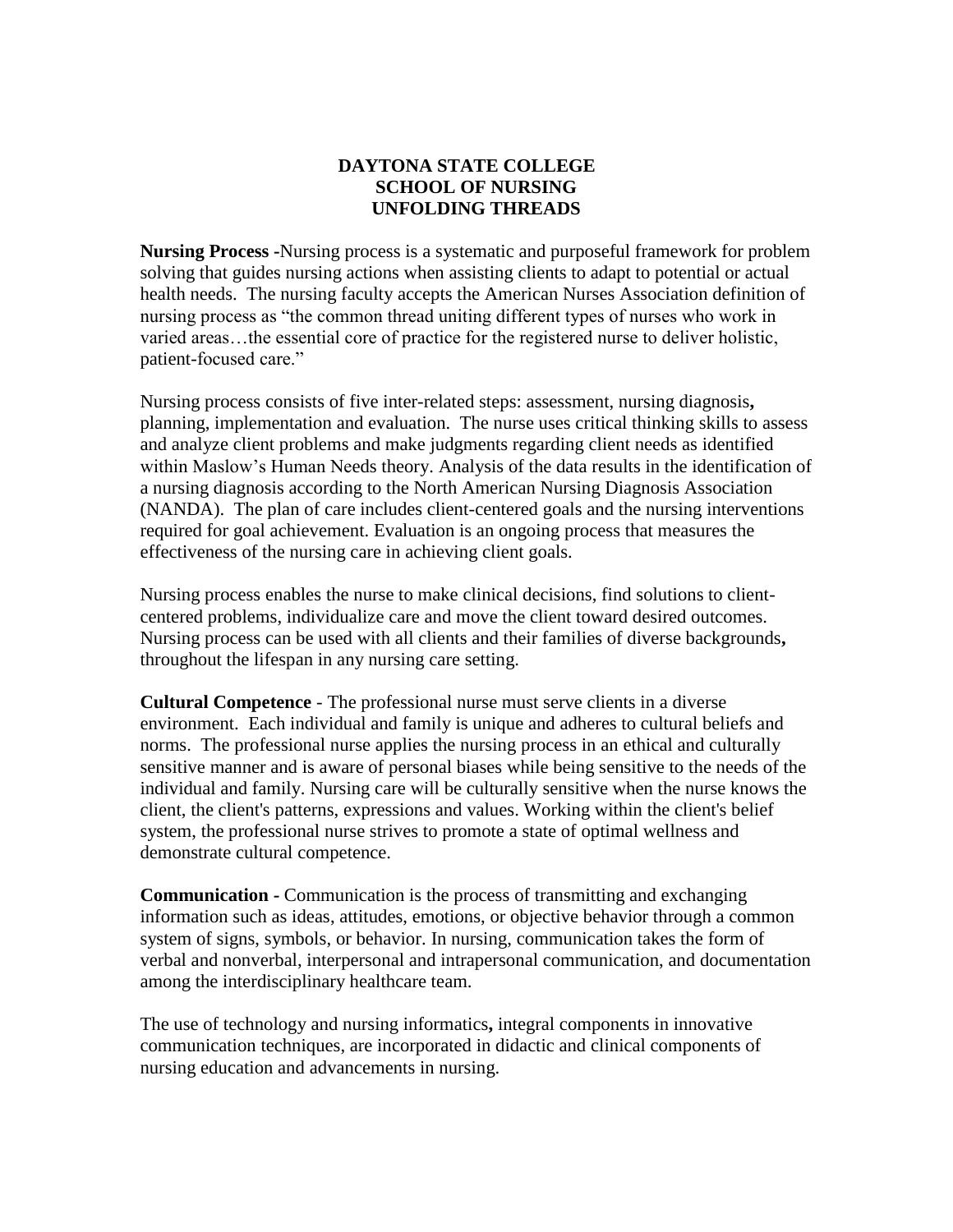## **DAYTONA STATE COLLEGE SCHOOL OF NURSING UNFOLDING THREADS**

**Nursing Process -**Nursing process is a systematic and purposeful framework for problem solving that guides nursing actions when assisting clients to adapt to potential or actual health needs. The nursing faculty accepts the American Nurses Association definition of nursing process as "the common thread uniting different types of nurses who work in varied areas…the essential core of practice for the registered nurse to deliver holistic, patient-focused care."

Nursing process consists of five inter-related steps: assessment, nursing diagnosis**,**  planning, implementation and evaluation. The nurse uses critical thinking skills to assess and analyze client problems and make judgments regarding client needs as identified within Maslow's Human Needs theory. Analysis of the data results in the identification of a nursing diagnosis according to the North American Nursing Diagnosis Association (NANDA). The plan of care includes client-centered goals and the nursing interventions required for goal achievement. Evaluation is an ongoing process that measures the effectiveness of the nursing care in achieving client goals.

Nursing process enables the nurse to make clinical decisions, find solutions to clientcentered problems, individualize care and move the client toward desired outcomes. Nursing process can be used with all clients and their families of diverse backgrounds**,**  throughout the lifespan in any nursing care setting.

**Cultural Competence** - The professional nurse must serve clients in a diverse environment. Each individual and family is unique and adheres to cultural beliefs and norms. The professional nurse applies the nursing process in an ethical and culturally sensitive manner and is aware of personal biases while being sensitive to the needs of the individual and family. Nursing care will be culturally sensitive when the nurse knows the client, the client's patterns, expressions and values. Working within the client's belief system, the professional nurse strives to promote a state of optimal wellness and demonstrate cultural competence.

**Communication -** Communication is the process of transmitting and exchanging information such as ideas, attitudes, emotions, or objective behavior through a common system of signs, symbols, or behavior. In nursing, communication takes the form of verbal and nonverbal, interpersonal and intrapersonal communication, and documentation among the interdisciplinary healthcare team.

The use of technology and nursing informatics**,** integral components in innovative communication techniques, are incorporated in didactic and clinical components of nursing education and advancements in nursing.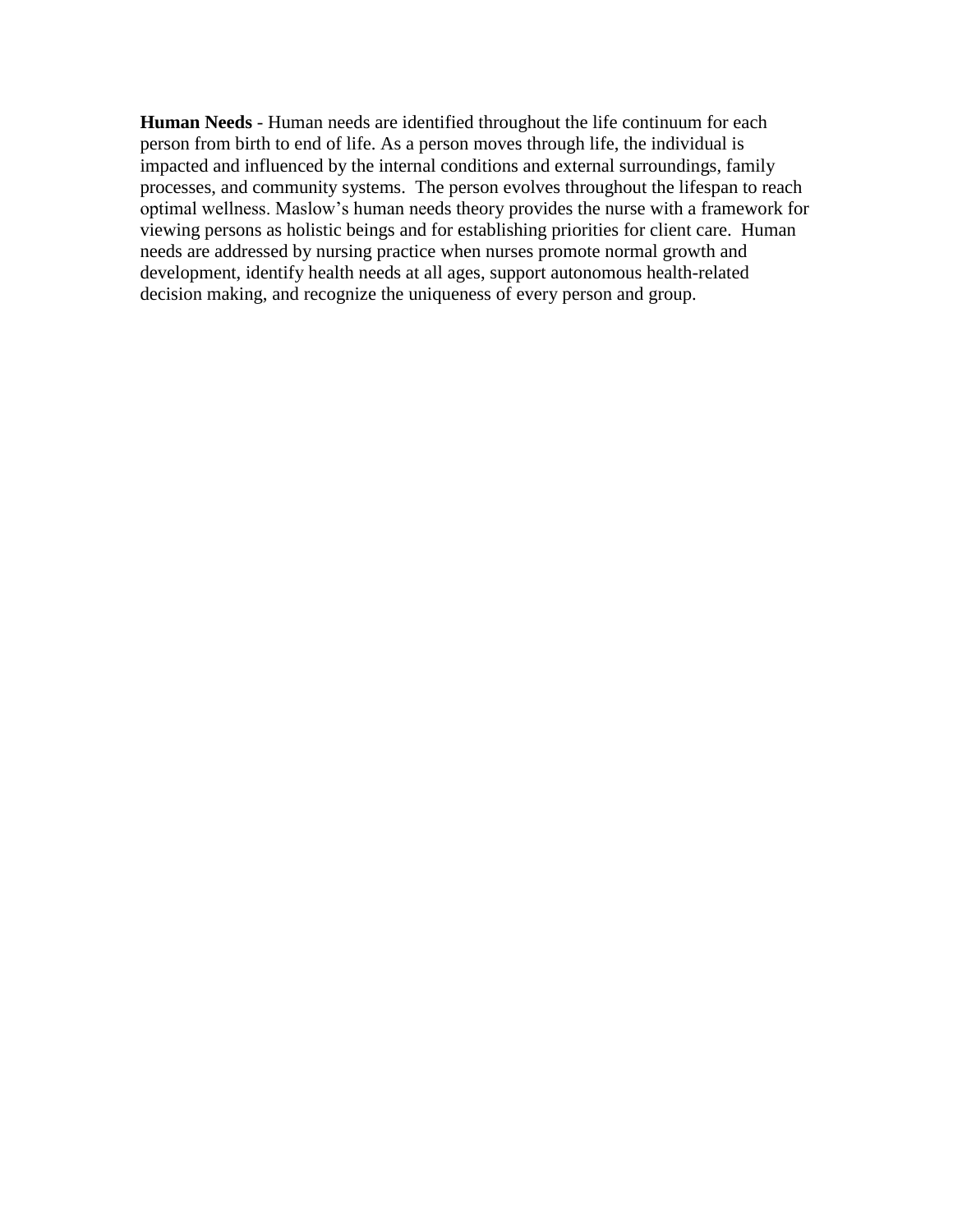**Human Needs** - Human needs are identified throughout the life continuum for each person from birth to end of life. As a person moves through life, the individual is impacted and influenced by the internal conditions and external surroundings, family processes, and community systems. The person evolves throughout the lifespan to reach optimal wellness. Maslow's human needs theory provides the nurse with a framework for viewing persons as holistic beings and for establishing priorities for client care. Human needs are addressed by nursing practice when nurses promote normal growth and development, identify health needs at all ages, support autonomous health-related decision making, and recognize the uniqueness of every person and group.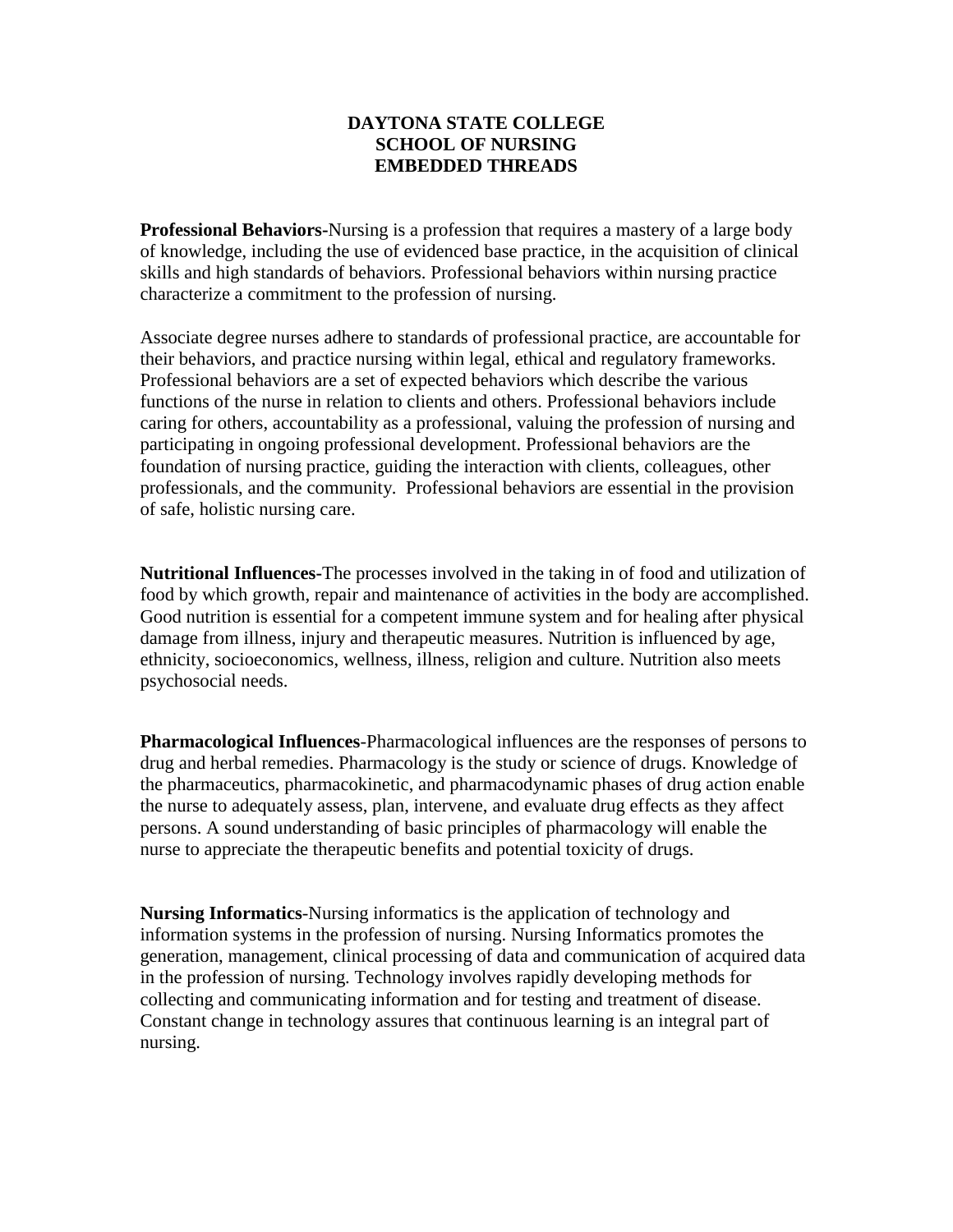## **DAYTONA STATE COLLEGE SCHOOL OF NURSING EMBEDDED THREADS**

**Professional Behaviors-**Nursing is a profession that requires a mastery of a large body of knowledge, including the use of evidenced base practice, in the acquisition of clinical skills and high standards of behaviors. Professional behaviors within nursing practice characterize a commitment to the profession of nursing.

Associate degree nurses adhere to standards of professional practice, are accountable for their behaviors, and practice nursing within legal, ethical and regulatory frameworks. Professional behaviors are a set of expected behaviors which describe the various functions of the nurse in relation to clients and others. Professional behaviors include caring for others, accountability as a professional, valuing the profession of nursing and participating in ongoing professional development. Professional behaviors are the foundation of nursing practice, guiding the interaction with clients, colleagues, other professionals, and the community. Professional behaviors are essential in the provision of safe, holistic nursing care.

**Nutritional Influences-**The processes involved in the taking in of food and utilization of food by which growth, repair and maintenance of activities in the body are accomplished. Good nutrition is essential for a competent immune system and for healing after physical damage from illness, injury and therapeutic measures. Nutrition is influenced by age, ethnicity, socioeconomics, wellness, illness, religion and culture. Nutrition also meets psychosocial needs.

**Pharmacological Influences**-Pharmacological influences are the responses of persons to drug and herbal remedies. Pharmacology is the study or science of drugs. Knowledge of the pharmaceutics, pharmacokinetic, and pharmacodynamic phases of drug action enable the nurse to adequately assess, plan, intervene, and evaluate drug effects as they affect persons. A sound understanding of basic principles of pharmacology will enable the nurse to appreciate the therapeutic benefits and potential toxicity of drugs.

**Nursing Informatics**-Nursing informatics is the application of technology and information systems in the profession of nursing. Nursing Informatics promotes the generation, management, clinical processing of data and communication of acquired data in the profession of nursing. Technology involves rapidly developing methods for collecting and communicating information and for testing and treatment of disease. Constant change in technology assures that continuous learning is an integral part of nursing.